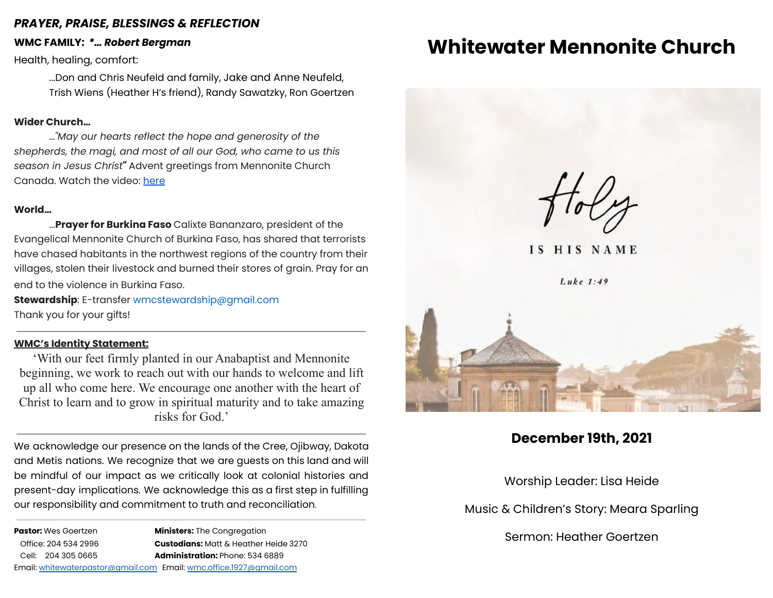### *PRAYER, PRAISE, BLESSINGS & REFLECTION*

### **WMC FAMILY:** *\*… Robert Bergman*

Health, healing, comfort:

...Don and Chris Neufeld and family, Jake and Anne Neufeld, Trish Wiens (Heather H's friend), Randy Sawatzky, Ron Goertzen

### **Wider Church…**

…*"May our hearts reflect the hope and generosity of the shepherds, the magi, and most of all our God, who came to us this season in Jesus Christ***"** Advent greetings from Mennonite Church Canada. Watch the video: [here](https://mennochurch.us17.list-manage.com/track/click?u=ad5b62cc11dbd51616d36b2e2&id=f6d0854e6d&e=5ddc8d61fd)

### **World…**

...**Prayer for Burkina Faso** Calixte Bananzaro, president of the Evangelical Mennonite Church of Burkina Faso, has shared that terrorists have chased habitants in the northwest regions of the country from their villages, stolen their livestock and burned their stores of grain. Pray for an end to the violence in Burkina Faso.

**Stewardship**: E-transfer [wmcstewardship@gmail.com](mailto:wmcstewardship@gmail.com) Thank you for your gifts!

### **WMC's Identity Statement:**

'With our feet firmly planted in our Anabaptist and Mennonite beginning, we work to reach out with our hands to welcome and lift up all who come here. We encourage one another with the heart of Christ to learn and to grow in spiritual maturity and to take amazing risks for God.'

We acknowledge our presence on the lands of the Cree, Ojibway, Dakota and Metis nations. We recognize that we are guests on this land and will be mindful of our impact as we critically look at colonial histories and present-day implications. We acknowledge this as a first step in fulfilling our responsibility and commitment to truth and reconciliation.

| <b>Pastor:</b> Wes Goertzen |                      |  | <b>Ministers:</b> The Congregation                                 |
|-----------------------------|----------------------|--|--------------------------------------------------------------------|
|                             | Office: 204 534 2996 |  | <b>Custodians:</b> Matt & Heather Heide 3270                       |
|                             | Cell: 204 305 0665   |  | <b>Administration: Phone: 534 6889</b>                             |
|                             |                      |  | Email: whitewaterpastor@gmail.com Email: wmc.office.1927@gmail.com |

# **Whitewater Mennonite Church**



**December 19th, 2021**

Worship Leader: Lisa Heide

Music & Children's Story: Meara Sparling

Sermon: Heather Goertzen